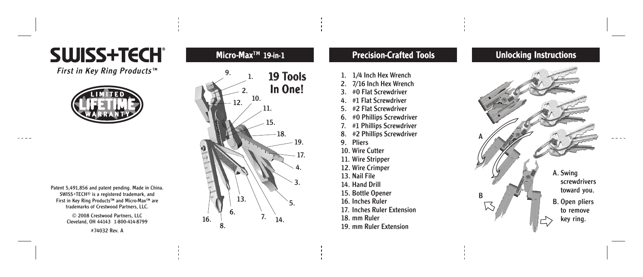# SWISS+TECH®

First in Kev Ring Products™



Patent 5,491,856 and patent pending. Made in China. SWISS+TECH ® is a registered trademark, and First in Key Ring Products™ and Micro-Max™ are trademarks of Crestwood Partners, LLC.

> © 2008 Crestwood Partners, LLC Cleveland, OH 44143 1-800-414-8799

#74032 Rev. A

## Micr o-Max™ 19-in-1



## Precision-Craf ted Tools

- 1. 1/4 Inch Hex Wrench
- 2. 7/16 Inch Hex Wrench
- 3. #0 Flat Screwdriver
- 4. #1 Flat Screwdriver
- #2 Flat Screwdriver
- 6. #0 Phillips Screwdriver
- #1 Phillips Screwdriver
- 8. #2 Phillips Screwdriver
- 9. Pliers
- 10. Wire Cutter
- 11. Wire Stripper
- 12. Wire Crimper
- 13. Nail File
- 14. Hand Drill
- 15. Bottle Opener
- 16. Inches Ruler
- 17. Inches Ruler Extension
- 
- 18. mm Ruler

#### 19. mm Ruler Extension

## Unlocking Instructions